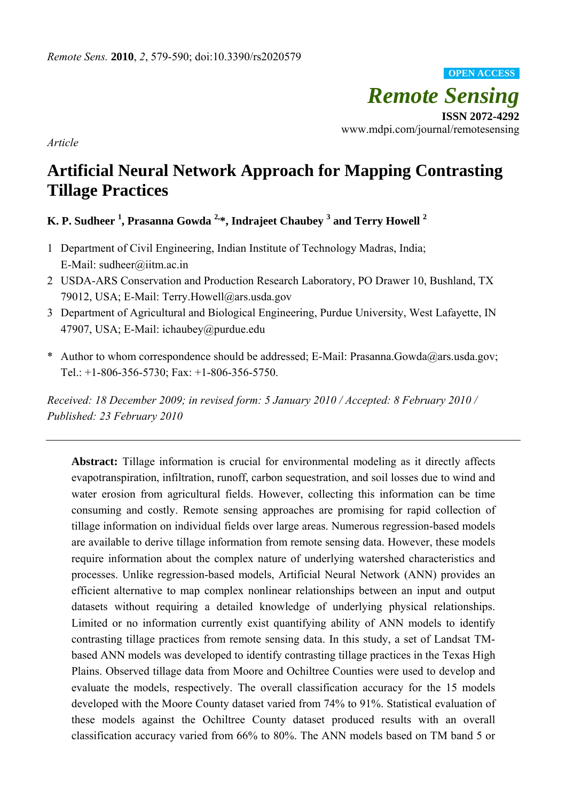*Remote Sensing*  **ISSN 2072-4292**  www.mdpi.com/journal/remotesensing **OPEN ACCESS**

*Article* 

# **Artificial Neural Network Approach for Mapping Contrasting Tillage Practices**

# **K. P. Sudheer 1 , Prasanna Gowda 2,\*, Indrajeet Chaubey 3 and Terry Howell <sup>2</sup>**

- 1 Department of Civil Engineering, Indian Institute of Technology Madras, India; E-Mail: sudheer@iitm.ac.in
- 2 USDA-ARS Conservation and Production Research Laboratory, PO Drawer 10, Bushland, TX 79012, USA; E-Mail: Terry.Howell@ars.usda.gov
- 3 Department of Agricultural and Biological Engineering, Purdue University, West Lafayette, IN 47907, USA; E-Mail: ichaubey@purdue.edu
- \* Author to whom correspondence should be addressed; E-Mail: Prasanna.Gowda@ars.usda.gov; Tel.: +1-806-356-5730; Fax: +1-806-356-5750.

*Received: 18 December 2009; in revised form: 5 January 2010 / Accepted: 8 February 2010 / Published: 23 February 2010* 

Abstract: Tillage information is crucial for environmental modeling as it directly affects evapotranspiration, infiltration, runoff, carbon sequestration, and soil losses due to wind and water erosion from agricultural fields. However, collecting this information can be time consuming and costly. Remote sensing approaches are promising for rapid collection of tillage information on individual fields over large areas. Numerous regression-based models are available to derive tillage information from remote sensing data. However, these models require information about the complex nature of underlying watershed characteristics and processes. Unlike regression-based models, Artificial Neural Network (ANN) provides an efficient alternative to map complex nonlinear relationships between an input and output datasets without requiring a detailed knowledge of underlying physical relationships. Limited or no information currently exist quantifying ability of ANN models to identify contrasting tillage practices from remote sensing data. In this study, a set of Landsat TMbased ANN models was developed to identify contrasting tillage practices in the Texas High Plains. Observed tillage data from Moore and Ochiltree Counties were used to develop and evaluate the models, respectively. The overall classification accuracy for the 15 models developed with the Moore County dataset varied from 74% to 91%. Statistical evaluation of these models against the Ochiltree County dataset produced results with an overall classification accuracy varied from 66% to 80%. The ANN models based on TM band 5 or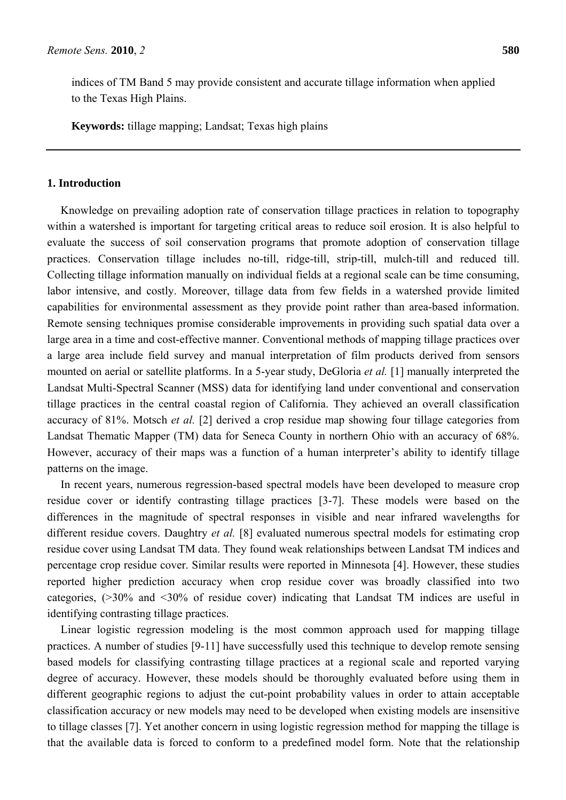indices of TM Band 5 may provide consistent and accurate tillage information when applied to the Texas High Plains.

**Keywords:** tillage mapping; Landsat; Texas high plains

## **1. Introduction**

Knowledge on prevailing adoption rate of conservation tillage practices in relation to topography within a watershed is important for targeting critical areas to reduce soil erosion. It is also helpful to evaluate the success of soil conservation programs that promote adoption of conservation tillage practices. Conservation tillage includes no-till, ridge-till, strip-till, mulch-till and reduced till. Collecting tillage information manually on individual fields at a regional scale can be time consuming, labor intensive, and costly. Moreover, tillage data from few fields in a watershed provide limited capabilities for environmental assessment as they provide point rather than area-based information. Remote sensing techniques promise considerable improvements in providing such spatial data over a large area in a time and cost-effective manner. Conventional methods of mapping tillage practices over a large area include field survey and manual interpretation of film products derived from sensors mounted on aerial or satellite platforms. In a 5-year study, DeGloria *et al.* [1] manually interpreted the Landsat Multi-Spectral Scanner (MSS) data for identifying land under conventional and conservation tillage practices in the central coastal region of California. They achieved an overall classification accuracy of 81%. Motsch *et al.* [2] derived a crop residue map showing four tillage categories from Landsat Thematic Mapper (TM) data for Seneca County in northern Ohio with an accuracy of 68%. However, accuracy of their maps was a function of a human interpreter's ability to identify tillage patterns on the image.

In recent years, numerous regression-based spectral models have been developed to measure crop residue cover or identify contrasting tillage practices [3-7]. These models were based on the differences in the magnitude of spectral responses in visible and near infrared wavelengths for different residue covers. Daughtry *et al.* [8] evaluated numerous spectral models for estimating crop residue cover using Landsat TM data. They found weak relationships between Landsat TM indices and percentage crop residue cover. Similar results were reported in Minnesota [4]. However, these studies reported higher prediction accuracy when crop residue cover was broadly classified into two categories, (>30% and <30% of residue cover) indicating that Landsat TM indices are useful in identifying contrasting tillage practices.

Linear logistic regression modeling is the most common approach used for mapping tillage practices. A number of studies [9-11] have successfully used this technique to develop remote sensing based models for classifying contrasting tillage practices at a regional scale and reported varying degree of accuracy. However, these models should be thoroughly evaluated before using them in different geographic regions to adjust the cut-point probability values in order to attain acceptable classification accuracy or new models may need to be developed when existing models are insensitive to tillage classes [7]. Yet another concern in using logistic regression method for mapping the tillage is that the available data is forced to conform to a predefined model form. Note that the relationship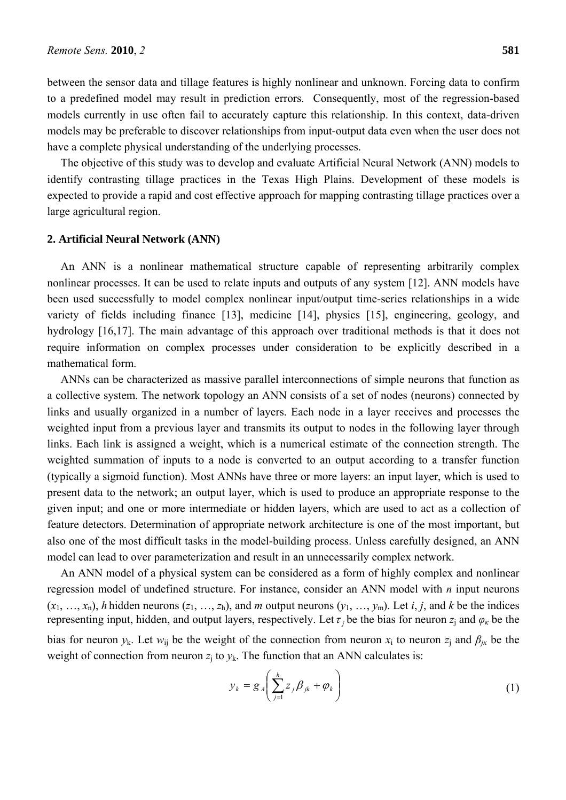between the sensor data and tillage features is highly nonlinear and unknown. Forcing data to confirm to a predefined model may result in prediction errors. Consequently, most of the regression-based models currently in use often fail to accurately capture this relationship. In this context, data-driven models may be preferable to discover relationships from input-output data even when the user does not have a complete physical understanding of the underlying processes.

The objective of this study was to develop and evaluate Artificial Neural Network (ANN) models to identify contrasting tillage practices in the Texas High Plains. Development of these models is expected to provide a rapid and cost effective approach for mapping contrasting tillage practices over a large agricultural region.

#### **2. Artificial Neural Network (ANN)**

An ANN is a nonlinear mathematical structure capable of representing arbitrarily complex nonlinear processes. It can be used to relate inputs and outputs of any system [12]. ANN models have been used successfully to model complex nonlinear input/output time-series relationships in a wide variety of fields including finance [13], medicine [14], physics [15], engineering, geology, and hydrology [16,17]. The main advantage of this approach over traditional methods is that it does not require information on complex processes under consideration to be explicitly described in a mathematical form.

ANNs can be characterized as massive parallel interconnections of simple neurons that function as a collective system. The network topology an ANN consists of a set of nodes (neurons) connected by links and usually organized in a number of layers. Each node in a layer receives and processes the weighted input from a previous layer and transmits its output to nodes in the following layer through links. Each link is assigned a weight, which is a numerical estimate of the connection strength. The weighted summation of inputs to a node is converted to an output according to a transfer function (typically a sigmoid function). Most ANNs have three or more layers: an input layer, which is used to present data to the network; an output layer, which is used to produce an appropriate response to the given input; and one or more intermediate or hidden layers, which are used to act as a collection of feature detectors. Determination of appropriate network architecture is one of the most important, but also one of the most difficult tasks in the model-building process. Unless carefully designed, an ANN model can lead to over parameterization and result in an unnecessarily complex network.

An ANN model of a physical system can be considered as a form of highly complex and nonlinear regression model of undefined structure. For instance, consider an ANN model with *n* input neurons  $(x_1, \ldots, x_n)$ , *h* hidden neurons  $(z_1, \ldots, z_h)$ , and *m* output neurons  $(y_1, \ldots, y_m)$ . Let *i*, *j*, and *k* be the indices representing input, hidden, and output layers, respectively. Let  $\tau$ , be the bias for neuron  $z_i$  and  $\varphi_k$  be the bias for neuron  $y_k$ . Let  $w_{ij}$  be the weight of the connection from neuron  $x_i$  to neuron  $z_i$  and  $\beta_{jk}$  be the weight of connection from neuron  $z_i$  to  $y_k$ . The function that an ANN calculates is:

$$
y_k = g_A \left( \sum_{j=1}^h z_j \beta_{jk} + \varphi_k \right) \tag{1}
$$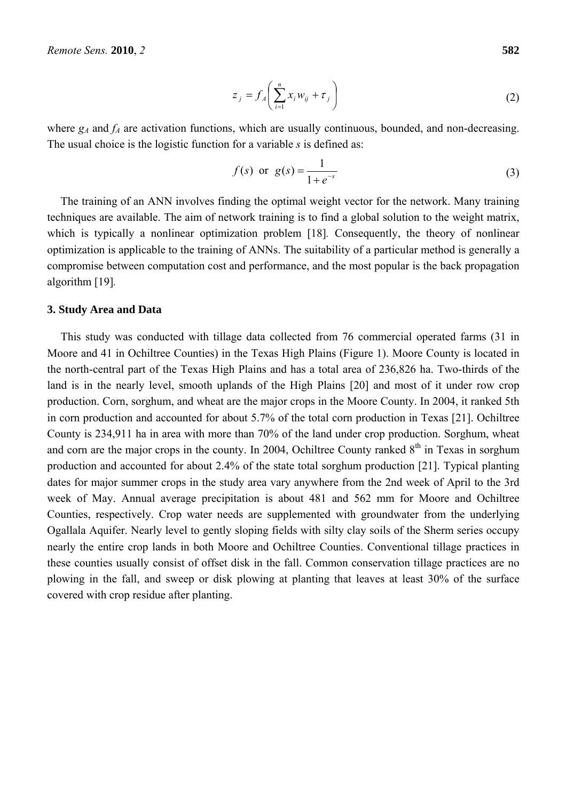$$
z_j = f_A \left( \sum_{i=1}^n x_i w_{ij} + \tau_j \right) \tag{2}
$$

where  $g_A$  and  $f_A$  are activation functions, which are usually continuous, bounded, and non-decreasing. The usual choice is the logistic function for a variable *s* is defined as:

$$
f(s)
$$
 or  $g(s) = \frac{1}{1 + e^{-s}}$  (3)

The training of an ANN involves finding the optimal weight vector for the network. Many training techniques are available. The aim of network training is to find a global solution to the weight matrix, which is typically a nonlinear optimization problem [18]*.* Consequently, the theory of nonlinear optimization is applicable to the training of ANNs. The suitability of a particular method is generally a compromise between computation cost and performance, and the most popular is the back propagation algorithm [19]*.*

#### **3. Study Area and Data**

This study was conducted with tillage data collected from 76 commercial operated farms (31 in Moore and 41 in Ochiltree Counties) in the Texas High Plains (Figure 1). Moore County is located in the north-central part of the Texas High Plains and has a total area of 236,826 ha. Two-thirds of the land is in the nearly level, smooth uplands of the High Plains [20] and most of it under row crop production. Corn, sorghum, and wheat are the major crops in the Moore County. In 2004, it ranked 5th in corn production and accounted for about 5.7% of the total corn production in Texas [21]. Ochiltree County is 234,911 ha in area with more than 70% of the land under crop production. Sorghum, wheat and corn are the major crops in the county. In 2004, Ochiltree County ranked 8<sup>th</sup> in Texas in sorghum production and accounted for about 2.4% of the state total sorghum production [21]. Typical planting dates for major summer crops in the study area vary anywhere from the 2nd week of April to the 3rd week of May. Annual average precipitation is about 481 and 562 mm for Moore and Ochiltree Counties, respectively. Crop water needs are supplemented with groundwater from the underlying Ogallala Aquifer. Nearly level to gently sloping fields with silty clay soils of the Sherm series occupy nearly the entire crop lands in both Moore and Ochiltree Counties. Conventional tillage practices in these counties usually consist of offset disk in the fall. Common conservation tillage practices are no plowing in the fall, and sweep or disk plowing at planting that leaves at least 30% of the surface covered with crop residue after planting.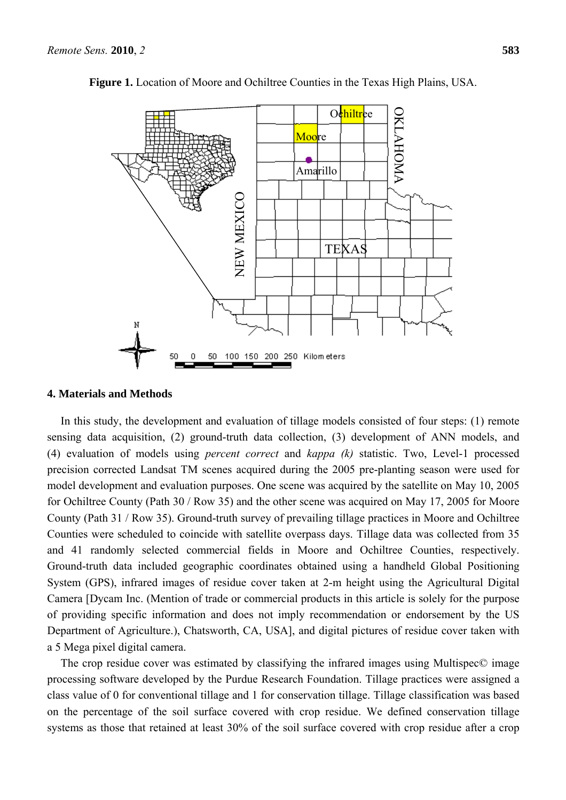

**Figure 1.** Location of Moore and Ochiltree Counties in the Texas High Plains, USA.

#### **4. Materials and Methods**

In this study, the development and evaluation of tillage models consisted of four steps: (1) remote sensing data acquisition, (2) ground-truth data collection, (3) development of ANN models, and (4) evaluation of models using *percent correct* and *kappa (k)* statistic. Two, Level-1 processed precision corrected Landsat TM scenes acquired during the 2005 pre-planting season were used for model development and evaluation purposes. One scene was acquired by the satellite on May 10, 2005 for Ochiltree County (Path 30 / Row 35) and the other scene was acquired on May 17, 2005 for Moore County (Path 31 / Row 35). Ground-truth survey of prevailing tillage practices in Moore and Ochiltree Counties were scheduled to coincide with satellite overpass days. Tillage data was collected from 35 and 41 randomly selected commercial fields in Moore and Ochiltree Counties, respectively. Ground-truth data included geographic coordinates obtained using a handheld Global Positioning System (GPS), infrared images of residue cover taken at 2-m height using the Agricultural Digital Camera [Dycam Inc. (Mention of trade or commercial products in this article is solely for the purpose of providing specific information and does not imply recommendation or endorsement by the US Department of Agriculture.), Chatsworth, CA, USA], and digital pictures of residue cover taken with a 5 Mega pixel digital camera.

The crop residue cover was estimated by classifying the infrared images using Multispec© image processing software developed by the Purdue Research Foundation. Tillage practices were assigned a class value of 0 for conventional tillage and 1 for conservation tillage. Tillage classification was based on the percentage of the soil surface covered with crop residue. We defined conservation tillage systems as those that retained at least 30% of the soil surface covered with crop residue after a crop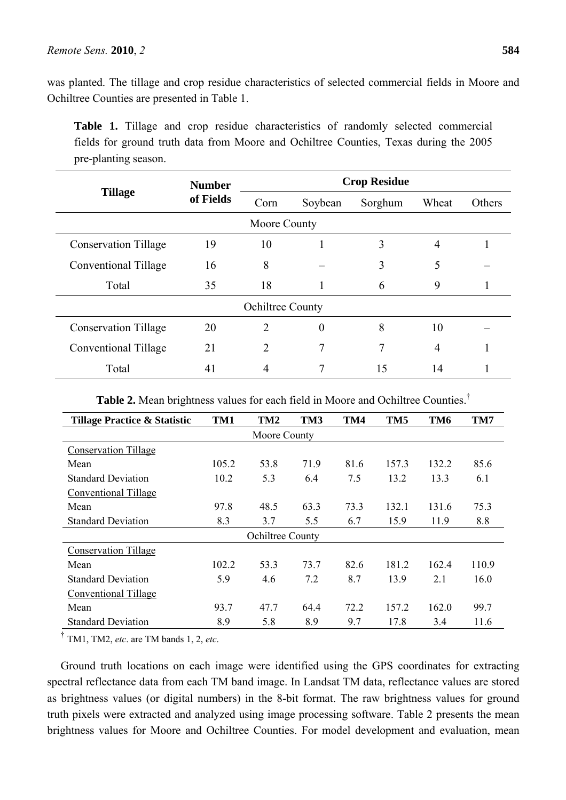was planted. The tillage and crop residue characteristics of selected commercial fields in Moore and Ochiltree Counties are presented in Table 1.

**Table 1.** Tillage and crop residue characteristics of randomly selected commercial fields for ground truth data from Moore and Ochiltree Counties, Texas during the 2005 pre-planting season.

| <b>Tillage</b>              | <b>Number</b> | <b>Crop Residue</b> |          |         |                |        |  |  |
|-----------------------------|---------------|---------------------|----------|---------|----------------|--------|--|--|
|                             | of Fields     | Corn                | Soybean  | Sorghum | Wheat          | Others |  |  |
| Moore County                |               |                     |          |         |                |        |  |  |
| <b>Conservation Tillage</b> | 19            | 10                  |          | 3       | $\overline{4}$ |        |  |  |
| Conventional Tillage        | 16            | 8                   |          | 3       | 5              |        |  |  |
| Total                       | 35            | 18                  |          | 6       | 9              |        |  |  |
| Ochiltree County            |               |                     |          |         |                |        |  |  |
| <b>Conservation Tillage</b> | 20            | 2                   | $\theta$ | 8       | 10             |        |  |  |
| Conventional Tillage        | 21            | 2                   |          | 7       | $\overline{4}$ |        |  |  |
| Total                       | 41            | 4                   |          | 15      | 14             |        |  |  |

**Table 2.** Mean brightness values for each field in Moore and Ochiltree Counties.†

| <b>Tillage Practice &amp; Statistic</b> | TM1   | TM <sub>2</sub>  | TM3  | TM4  | TM <sub>5</sub> | TM <sub>6</sub> | TM7   |  |
|-----------------------------------------|-------|------------------|------|------|-----------------|-----------------|-------|--|
| Moore County                            |       |                  |      |      |                 |                 |       |  |
| <b>Conservation Tillage</b>             |       |                  |      |      |                 |                 |       |  |
| Mean                                    | 105.2 | 53.8             | 71.9 | 81.6 | 157.3           | 132.2           | 85.6  |  |
| <b>Standard Deviation</b>               | 10.2  | 5.3              | 6.4  | 7.5  | 13.2            | 13.3            | 6.1   |  |
| <b>Conventional Tillage</b>             |       |                  |      |      |                 |                 |       |  |
| Mean                                    | 97.8  | 48.5             | 63.3 | 73.3 | 132.1           | 131.6           | 75.3  |  |
| <b>Standard Deviation</b>               | 8.3   | 3.7              | 5.5  | 6.7  | 15.9            | 11.9            | 8.8   |  |
|                                         |       | Ochiltree County |      |      |                 |                 |       |  |
| <b>Conservation Tillage</b>             |       |                  |      |      |                 |                 |       |  |
| Mean                                    | 102.2 | 53.3             | 73.7 | 82.6 | 181.2           | 162.4           | 110.9 |  |
| <b>Standard Deviation</b>               | 5.9   | 4.6              | 7.2  | 8.7  | 13.9            | 2.1             | 16.0  |  |
| <b>Conventional Tillage</b>             |       |                  |      |      |                 |                 |       |  |
| Mean                                    | 93.7  | 47.7             | 64.4 | 72.2 | 157.2           | 162.0           | 99.7  |  |
| <b>Standard Deviation</b>               | 8.9   | 5.8              | 8.9  | 9.7  | 17.8            | 3.4             | 11.6  |  |

<sup>†</sup> TM1, TM2, *etc*, are TM bands 1, 2, *etc*.

Ground truth locations on each image were identified using the GPS coordinates for extracting spectral reflectance data from each TM band image. In Landsat TM data, reflectance values are stored as brightness values (or digital numbers) in the 8-bit format. The raw brightness values for ground truth pixels were extracted and analyzed using image processing software. Table 2 presents the mean brightness values for Moore and Ochiltree Counties. For model development and evaluation, mean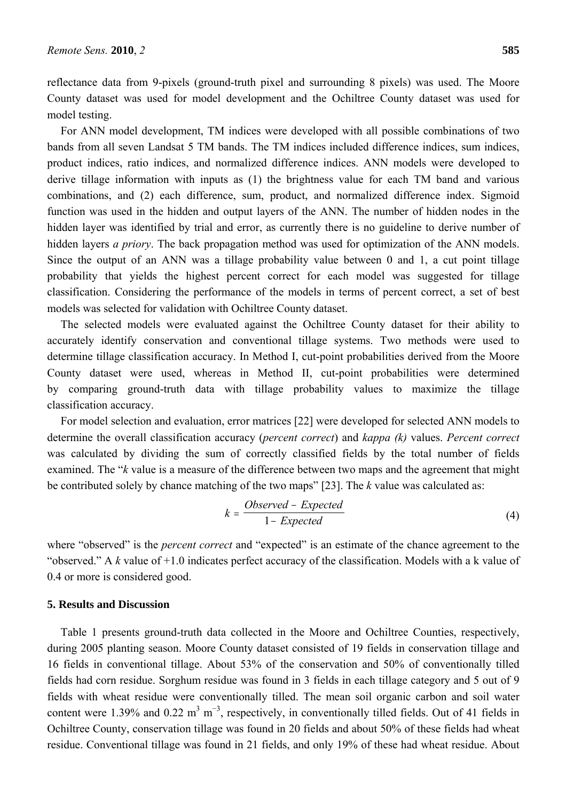reflectance data from 9-pixels (ground-truth pixel and surrounding 8 pixels) was used. The Moore County dataset was used for model development and the Ochiltree County dataset was used for model testing.

For ANN model development, TM indices were developed with all possible combinations of two bands from all seven Landsat 5 TM bands. The TM indices included difference indices, sum indices, product indices, ratio indices, and normalized difference indices. ANN models were developed to derive tillage information with inputs as (1) the brightness value for each TM band and various combinations, and (2) each difference, sum, product, and normalized difference index. Sigmoid function was used in the hidden and output layers of the ANN. The number of hidden nodes in the hidden layer was identified by trial and error, as currently there is no guideline to derive number of hidden layers *a priory*. The back propagation method was used for optimization of the ANN models. Since the output of an ANN was a tillage probability value between 0 and 1, a cut point tillage probability that yields the highest percent correct for each model was suggested for tillage classification. Considering the performance of the models in terms of percent correct, a set of best models was selected for validation with Ochiltree County dataset.

The selected models were evaluated against the Ochiltree County dataset for their ability to accurately identify conservation and conventional tillage systems. Two methods were used to determine tillage classification accuracy. In Method I, cut-point probabilities derived from the Moore County dataset were used, whereas in Method II, cut-point probabilities were determined by comparing ground-truth data with tillage probability values to maximize the tillage classification accuracy.

For model selection and evaluation, error matrices [22] were developed for selected ANN models to determine the overall classification accuracy (*percent correct*) and *kappa (k)* values. *Percent correct* was calculated by dividing the sum of correctly classified fields by the total number of fields examined. The "*k* value is a measure of the difference between two maps and the agreement that might be contributed solely by chance matching of the two maps" [23]. The *k* value was calculated as:

$$
k = \frac{Observed - Expected}{1 - Expected}
$$
 (4)

where "observed" is the *percent correct* and "expected" is an estimate of the chance agreement to the "observed." A *k* value of +1.0 indicates perfect accuracy of the classification. Models with a k value of 0.4 or more is considered good.

### **5. Results and Discussion**

Table 1 presents ground-truth data collected in the Moore and Ochiltree Counties, respectively, during 2005 planting season. Moore County dataset consisted of 19 fields in conservation tillage and 16 fields in conventional tillage. About 53% of the conservation and 50% of conventionally tilled fields had corn residue. Sorghum residue was found in 3 fields in each tillage category and 5 out of 9 fields with wheat residue were conventionally tilled. The mean soil organic carbon and soil water content were 1.39% and 0.22 m<sup>3</sup> m<sup>-3</sup>, respectively, in conventionally tilled fields. Out of 41 fields in Ochiltree County, conservation tillage was found in 20 fields and about 50% of these fields had wheat residue. Conventional tillage was found in 21 fields, and only 19% of these had wheat residue. About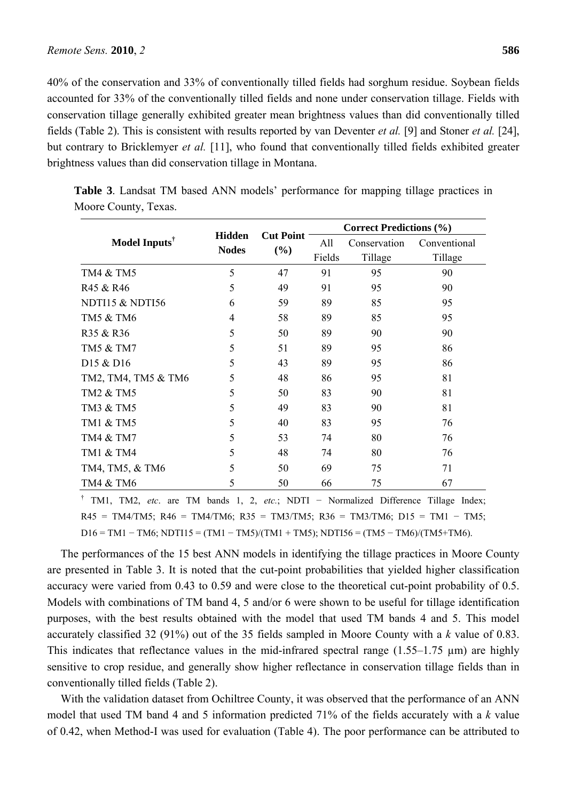40% of the conservation and 33% of conventionally tilled fields had sorghum residue. Soybean fields accounted for 33% of the conventionally tilled fields and none under conservation tillage. Fields with conservation tillage generally exhibited greater mean brightness values than did conventionally tilled fields (Table 2). This is consistent with results reported by van Deventer *et al.* [9] and Stoner *et al.* [24], but contrary to Bricklemyer *et al.* [11], who found that conventionally tilled fields exhibited greater brightness values than did conservation tillage in Montana.

|                                   |                               |                         | <b>Correct Predictions (%)</b> |                         |                         |  |
|-----------------------------------|-------------------------------|-------------------------|--------------------------------|-------------------------|-------------------------|--|
| Model Inputs $^{\dagger}$         | <b>Hidden</b><br><b>Nodes</b> | <b>Cut Point</b><br>(%) | All<br>Fields                  | Conservation<br>Tillage | Conventional<br>Tillage |  |
| <b>TM4 &amp; TM5</b>              | 5                             | 47                      | 91                             | 95                      | 90                      |  |
| R45 & R46                         | 5                             | 49                      | 91                             | 95                      | 90                      |  |
| NDTI15 & NDTI56                   | 6                             | 59                      | 89                             | 85                      | 95                      |  |
| TM5 & TM6                         | 4                             | 58                      | 89                             | 85                      | 95                      |  |
| R35 & R36                         | 5                             | 50                      | 89                             | 90                      | 90                      |  |
| TM5 & TM7                         | 5                             | 51                      | 89                             | 95                      | 86                      |  |
| D <sub>15</sub> & D <sub>16</sub> | 5                             | 43                      | 89                             | 95                      | 86                      |  |
| TM2, TM4, TM5 & TM6               | 5                             | 48                      | 86                             | 95                      | 81                      |  |
| TM2 & TM5                         | 5                             | 50                      | 83                             | 90                      | 81                      |  |
| TM3 & TM5                         | 5                             | 49                      | 83                             | 90                      | 81                      |  |
| TM1 & TM5                         | 5                             | 40                      | 83                             | 95                      | 76                      |  |
| TM4 & TM7                         | 5                             | 53                      | 74                             | 80                      | 76                      |  |
| TM1 & TM4                         | 5                             | 48                      | 74                             | 80                      | 76                      |  |
| TM4, TM5, & TM6                   | 5                             | 50                      | 69                             | 75                      | 71                      |  |
| TM4 & TM6                         | 5                             | 50                      | 66                             | 75                      | 67                      |  |
|                                   |                               |                         |                                |                         |                         |  |

**Table 3**. Landsat TM based ANN models' performance for mapping tillage practices in Moore County, Texas.

† TM1, TM2, *etc*. are TM bands 1, 2, *etc.*; NDTI − Normalized Difference Tillage Index;  $R45 = TM4/TM5$ ;  $R46 = TM4/TM6$ ;  $R35 = TM3/TM5$ ;  $R36 = TM3/TM6$ ;  $D15 = TM1 - TM5$ ;  $D16 = TM1 - TM6$ ;  $NDTI15 = (TM1 - TM5)/(TM1 + TM5)$ ;  $NDTI56 = (TM5 - TM6)/(TM5+TM6)$ .

The performances of the 15 best ANN models in identifying the tillage practices in Moore County are presented in Table 3. It is noted that the cut-point probabilities that yielded higher classification accuracy were varied from 0.43 to 0.59 and were close to the theoretical cut-point probability of 0.5. Models with combinations of TM band 4, 5 and/or 6 were shown to be useful for tillage identification purposes, with the best results obtained with the model that used TM bands 4 and 5. This model accurately classified 32 (91%) out of the 35 fields sampled in Moore County with a *k* value of 0.83. This indicates that reflectance values in the mid-infrared spectral range  $(1.55-1.75 \mu m)$  are highly sensitive to crop residue, and generally show higher reflectance in conservation tillage fields than in conventionally tilled fields (Table 2).

With the validation dataset from Ochiltree County, it was observed that the performance of an ANN model that used TM band 4 and 5 information predicted 71% of the fields accurately with a *k* value of 0.42, when Method-I was used for evaluation (Table 4). The poor performance can be attributed to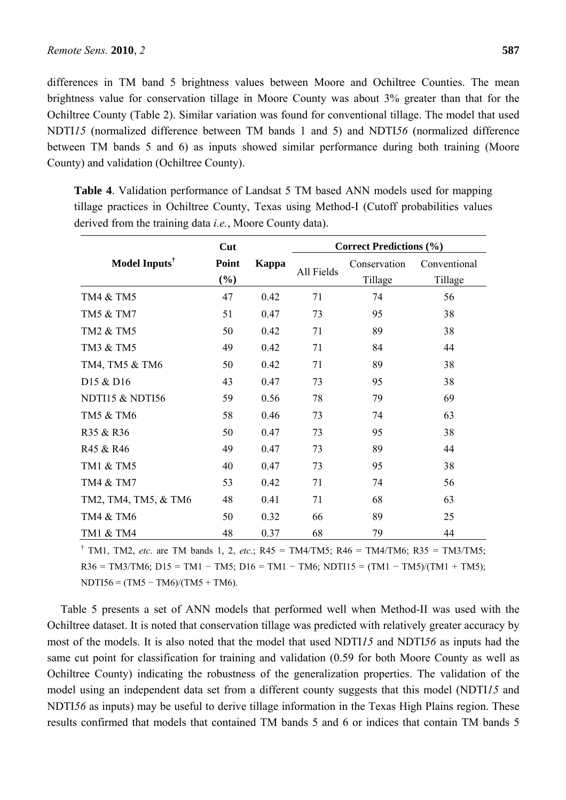differences in TM band 5 brightness values between Moore and Ochiltree Counties. The mean brightness value for conservation tillage in Moore County was about 3% greater than that for the Ochiltree County (Table 2). Similar variation was found for conventional tillage. The model that used NDTI*15* (normalized difference between TM bands 1 and 5) and NDTI*56* (normalized difference between TM bands 5 and 6) as inputs showed similar performance during both training (Moore County) and validation (Ochiltree County).

**Table 4**. Validation performance of Landsat 5 TM based ANN models used for mapping tillage practices in Ochiltree County, Texas using Method-I (Cutoff probabilities values derived from the training data *i.e.*, Moore County data).

|                                   | Cut             |       | <b>Correct Predictions (%)</b> |                         |                         |  |
|-----------------------------------|-----------------|-------|--------------------------------|-------------------------|-------------------------|--|
| Model Inputs <sup>†</sup>         | Point<br>$(\%)$ | Kappa | All Fields                     | Conservation<br>Tillage | Conventional<br>Tillage |  |
| TM4 & TM5                         | 47              | 0.42  | 71                             | 74                      | 56                      |  |
| TM5 & TM7                         | 51              | 0.47  | 73                             | 95                      | 38                      |  |
| TM2 & TM5                         | 50              | 0.42  | 71                             | 89                      | 38                      |  |
| TM3 & TM5                         | 49              | 0.42  | 71                             | 84                      | 44                      |  |
| TM4, TM5 & TM6                    | 50              | 0.42  | 71                             | 89                      | 38                      |  |
| D <sub>15</sub> & D <sub>16</sub> | 43              | 0.47  | 73                             | 95                      | 38                      |  |
| NDTI15 & NDTI56                   | 59              | 0.56  | 78                             | 79                      | 69                      |  |
| TM5 & TM6                         | 58              | 0.46  | 73                             | 74                      | 63                      |  |
| R35 & R36                         | 50              | 0.47  | 73                             | 95                      | 38                      |  |
| R45 & R46                         | 49              | 0.47  | 73                             | 89                      | 44                      |  |
| TM1 & TM5                         | 40              | 0.47  | 73                             | 95                      | 38                      |  |
| TM4 & TM7                         | 53              | 0.42  | 71                             | 74                      | 56                      |  |
| TM2, TM4, TM5, & TM6              | 48              | 0.41  | 71                             | 68                      | 63                      |  |
| TM4 & TM6                         | 50              | 0.32  | 66                             | 89                      | 25                      |  |
| TM1 & TM4                         | 48              | 0.37  | 68                             | 79                      | 44                      |  |

<sup>†</sup> TM1, TM2, *etc.* are TM bands 1, 2, *etc.*; R45 = TM4/TM5; R46 = TM4/TM6; R35 = TM3/TM5; R36 = TM3/TM6; D15 = TM1 – TM5; D16 = TM1 – TM6; NDTI15 = (TM1 – TM5)/(TM1 + TM5);  $NDTI56 = (TM5 - TM6)/(TM5 + TM6).$ 

Table 5 presents a set of ANN models that performed well when Method-II was used with the Ochiltree dataset. It is noted that conservation tillage was predicted with relatively greater accuracy by most of the models. It is also noted that the model that used NDTI*15* and NDTI*56* as inputs had the same cut point for classification for training and validation (0.59 for both Moore County as well as Ochiltree County) indicating the robustness of the generalization properties. The validation of the model using an independent data set from a different county suggests that this model (NDTI*15* and NDTI*56* as inputs) may be useful to derive tillage information in the Texas High Plains region. These results confirmed that models that contained TM bands 5 and 6 or indices that contain TM bands 5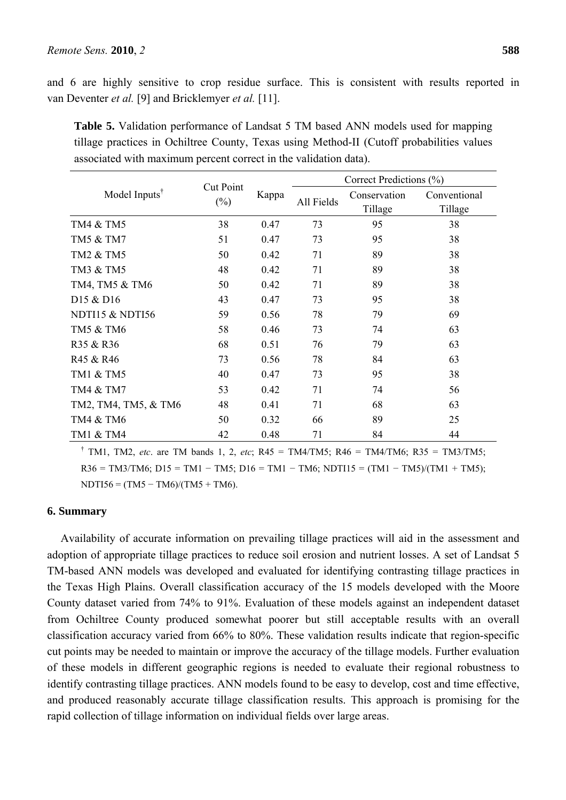and 6 are highly sensitive to crop residue surface. This is consistent with results reported in van Deventer *et al.* [9] and Bricklemyer *et al.* [11].

| Model Inputs <sup>T</sup> | <b>Cut Point</b><br>$(\%)$ | Kappa | Correct Predictions (%) |                         |                         |  |
|---------------------------|----------------------------|-------|-------------------------|-------------------------|-------------------------|--|
|                           |                            |       | All Fields              | Conservation<br>Tillage | Conventional<br>Tillage |  |
| TM4 & TM5                 | 38                         | 0.47  | 73                      | 95                      | 38                      |  |
| TM5 & TM7                 | 51                         | 0.47  | 73                      | 95                      | 38                      |  |
| TM2 & TM5                 | 50                         | 0.42  | 71                      | 89                      | 38                      |  |
| TM3 & TM5                 | 48                         | 0.42  | 71                      | 89                      | 38                      |  |
| TM4, TM5 & TM6            | 50                         | 0.42  | 71                      | 89                      | 38                      |  |
| D15 & D16                 | 43                         | 0.47  | 73                      | 95                      | 38                      |  |
| NDTI15 & NDTI56           | 59                         | 0.56  | 78                      | 79                      | 69                      |  |
| TM5 & TM6                 | 58                         | 0.46  | 73                      | 74                      | 63                      |  |
| R35 & R36                 | 68                         | 0.51  | 76                      | 79                      | 63                      |  |
| R45 & R46                 | 73                         | 0.56  | 78                      | 84                      | 63                      |  |
| TM1 & TM5                 | 40                         | 0.47  | 73                      | 95                      | 38                      |  |
| TM4 & TM7                 | 53                         | 0.42  | 71                      | 74                      | 56                      |  |
| TM2, TM4, TM5, & TM6      | 48                         | 0.41  | 71                      | 68                      | 63                      |  |
| TM4 & TM6                 | 50                         | 0.32  | 66                      | 89                      | 25                      |  |
| TM1 & TM4                 | 42                         | 0.48  | 71                      | 84                      | 44                      |  |

**Table 5.** Validation performance of Landsat 5 TM based ANN models used for mapping tillage practices in Ochiltree County, Texas using Method-II (Cutoff probabilities values associated with maximum percent correct in the validation data).

<sup>†</sup> TM1, TM2, *etc.* are TM bands 1, 2, *etc*; R45 = TM4/TM5; R46 = TM4/TM6; R35 = TM3/TM5;  $R36 = TM3/TM6$ ; D15 = TM1 – TM5; D16 = TM1 – TM6; NDTI15 = (TM1 – TM5)/(TM1 + TM5);  $NDTI56 = (TM5 - TM6)/(TM5 + TM6).$ 

#### **6. Summary**

Availability of accurate information on prevailing tillage practices will aid in the assessment and adoption of appropriate tillage practices to reduce soil erosion and nutrient losses. A set of Landsat 5 TM-based ANN models was developed and evaluated for identifying contrasting tillage practices in the Texas High Plains. Overall classification accuracy of the 15 models developed with the Moore County dataset varied from 74% to 91%. Evaluation of these models against an independent dataset from Ochiltree County produced somewhat poorer but still acceptable results with an overall classification accuracy varied from 66% to 80%. These validation results indicate that region-specific cut points may be needed to maintain or improve the accuracy of the tillage models. Further evaluation of these models in different geographic regions is needed to evaluate their regional robustness to identify contrasting tillage practices. ANN models found to be easy to develop, cost and time effective, and produced reasonably accurate tillage classification results. This approach is promising for the rapid collection of tillage information on individual fields over large areas.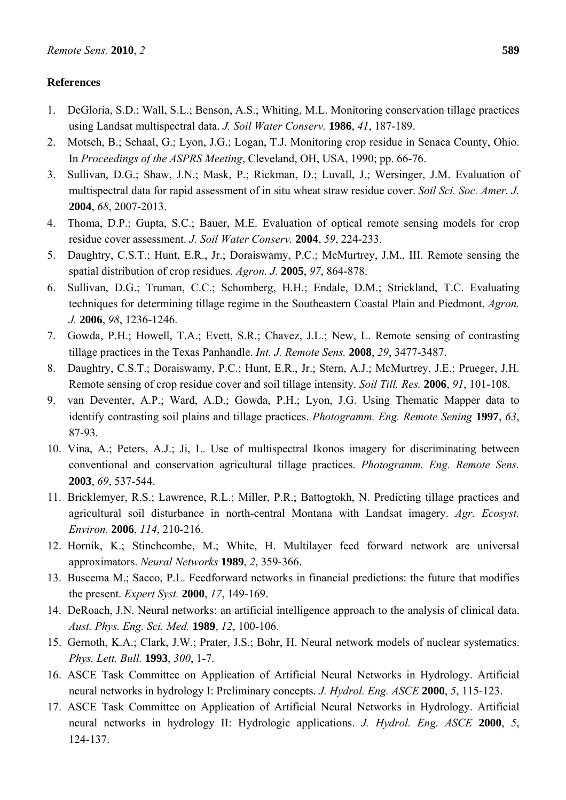## **References**

- 1. DeGloria, S.D.; Wall, S.L.; Benson, A.S.; Whiting, M.L. Monitoring conservation tillage practices using Landsat multispectral data. *J. Soil Water Conserv.* **1986**, *41*, 187-189.
- 2. Motsch, B.; Schaal, G.; Lyon, J.G.; Logan, T.J. Monitoring crop residue in Senaca County, Ohio. In *Proceedings of the ASPRS Meeting*, Cleveland, OH, USA, 1990; pp. 66-76.
- 3. Sullivan, D.G.; Shaw, J.N.; Mask, P.; Rickman, D.; Luvall, J.; Wersinger, J.M. Evaluation of multispectral data for rapid assessment of in situ wheat straw residue cover. *Soil Sci. Soc. Amer. J.* **2004**, *68*, 2007-2013.
- 4. Thoma, D.P.; Gupta, S.C.; Bauer, M.E. Evaluation of optical remote sensing models for crop residue cover assessment. *J. Soil Water Conserv.* **2004**, *59*, 224-233.
- 5. Daughtry, C.S.T.; Hunt, E.R., Jr.; Doraiswamy, P.C.; McMurtrey, J.M., III. Remote sensing the spatial distribution of crop residues. *Agron. J.* **2005**, *97*, 864-878.
- 6. Sullivan, D.G.; Truman, C.C.; Schomberg, H.H.; Endale, D.M.; Strickland, T.C. Evaluating techniques for determining tillage regime in the Southeastern Coastal Plain and Piedmont. *Agron. J.* **2006**, *98*, 1236-1246.
- 7. Gowda, P.H.; Howell, T.A.; Evett, S.R.; Chavez, J.L.; New, L. Remote sensing of contrasting tillage practices in the Texas Panhandle. *Int. J. Remote Sens.* **2008**, *29*, 3477-3487.
- 8. Daughtry, C.S.T.; Doraiswamy, P.C.; Hunt, E.R., Jr.; Stern, A.J.; McMurtrey, J.E.; Prueger, J.H. Remote sensing of crop residue cover and soil tillage intensity. *Soil Till. Res.* **2006**, *91*, 101-108.
- 9. van Deventer, A.P.; Ward, A.D.; Gowda, P.H.; Lyon, J.G. Using Thematic Mapper data to identify contrasting soil plains and tillage practices. *Photogramm. Eng. Remote Sening* **1997**, *63*, 87-93.
- 10. Vina, A.; Peters, A.J.; Ji, L. Use of multispectral Ikonos imagery for discriminating between conventional and conservation agricultural tillage practices. *Photogramm. Eng. Remote Sens.* **2003**, *69*, 537-544.
- 11. Bricklemyer, R.S.; Lawrence, R.L.; Miller, P.R.; Battogtokh, N. Predicting tillage practices and agricultural soil disturbance in north-central Montana with Landsat imagery. *Agr. Ecosyst. Environ.* **2006**, *114*, 210-216.
- 12. Hornik, K.; Stinchcombe, M.; White, H. Multilayer feed forward network are universal approximators. *Neural Networks* **1989**, *2*, 359-366.
- 13. Buscema M.; Sacco, P.L. Feedforward networks in financial predictions: the future that modifies the present. *Expert Syst.* **2000**, *17*, 149-169.
- 14. DeRoach, J.N. Neural networks: an artificial intelligence approach to the analysis of clinical data. *Aust. Phys. Eng. Sci. Med.* **1989**, *12*, 100-106.
- 15. Gernoth, K.A.; Clark, J.W.; Prater, J.S.; Bohr, H. Neural network models of nuclear systematics. *Phys. Lett. Bull.* **1993**, *300*, 1-7.
- 16. ASCE Task Committee on Application of Artificial Neural Networks in Hydrology. Artificial neural networks in hydrology I: Preliminary concepts. *J. Hydrol. Eng. ASCE* **2000**, *5*, 115-123.
- 17. ASCE Task Committee on Application of Artificial Neural Networks in Hydrology. Artificial neural networks in hydrology II: Hydrologic applications. *J. Hydrol. Eng. ASCE* **2000**, *5*, 124-137.